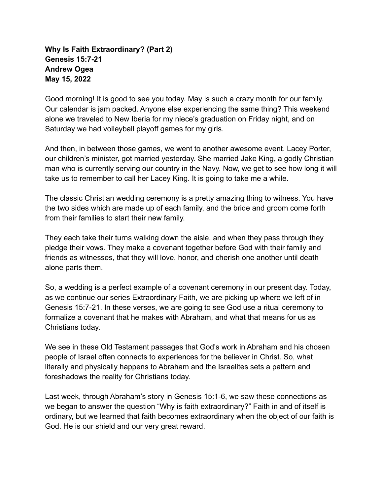#### **Why Is Faith Extraordinary? (Part 2) Genesis 15:7-21 Andrew Ogea May 15, 2022**

Good morning! It is good to see you today. May is such a crazy month for our family. Our calendar is jam packed. Anyone else experiencing the same thing? This weekend alone we traveled to New Iberia for my niece's graduation on Friday night, and on Saturday we had volleyball playoff games for my girls.

And then, in between those games, we went to another awesome event. Lacey Porter, our children's minister, got married yesterday. She married Jake King, a godly Christian man who is currently serving our country in the Navy. Now, we get to see how long it will take us to remember to call her Lacey King. It is going to take me a while.

The classic Christian wedding ceremony is a pretty amazing thing to witness. You have the two sides which are made up of each family, and the bride and groom come forth from their families to start their new family.

They each take their turns walking down the aisle, and when they pass through they pledge their vows. They make a covenant together before God with their family and friends as witnesses, that they will love, honor, and cherish one another until death alone parts them.

So, a wedding is a perfect example of a covenant ceremony in our present day. Today, as we continue our series Extraordinary Faith, we are picking up where we left of in Genesis 15:7-21. In these verses, we are going to see God use a ritual ceremony to formalize a covenant that he makes with Abraham, and what that means for us as Christians today.

We see in these Old Testament passages that God's work in Abraham and his chosen people of Israel often connects to experiences for the believer in Christ. So, what literally and physically happens to Abraham and the Israelites sets a pattern and foreshadows the reality for Christians today.

Last week, through Abraham's story in Genesis 15:1-6, we saw these connections as we began to answer the question "Why is faith extraordinary?" Faith in and of itself is ordinary, but we learned that faith becomes extraordinary when the object of our faith is God. He is our shield and our very great reward.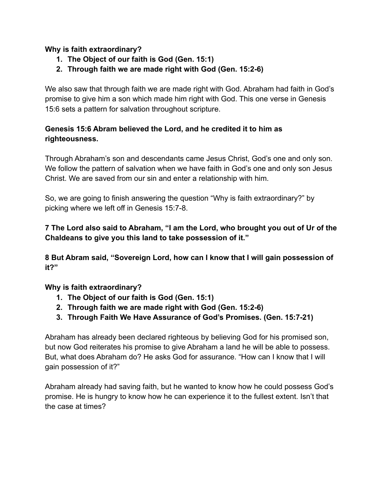#### **Why is faith extraordinary?**

- **1. The Object of our faith is God (Gen. 15:1)**
- **2. Through faith we are made right with God (Gen. 15:2-6)**

We also saw that through faith we are made right with God. Abraham had faith in God's promise to give him a son which made him right with God. This one verse in Genesis 15:6 sets a pattern for salvation throughout scripture.

### **Genesis 15:6 Abram believed the Lord, and he credited it to him as righteousness.**

Through Abraham's son and descendants came Jesus Christ, God's one and only son. We follow the pattern of salvation when we have faith in God's one and only son Jesus Christ. We are saved from our sin and enter a relationship with him.

So, we are going to finish answering the question "Why is faith extraordinary?" by picking where we left off in Genesis 15:7-8.

# **7 The Lord also said to Abraham, "I am the Lord, who brought you out of Ur of the Chaldeans to give you this land to take possession of it."**

**8 But Abram said, "Sovereign Lord, how can I know that I will gain possession of it?"**

# **Why is faith extraordinary?**

- **1. The Object of our faith is God (Gen. 15:1)**
- **2. Through faith we are made right with God (Gen. 15:2-6)**
- **3. Through Faith We Have Assurance of God's Promises. (Gen. 15:7-21)**

Abraham has already been declared righteous by believing God for his promised son, but now God reiterates his promise to give Abraham a land he will be able to possess. But, what does Abraham do? He asks God for assurance. "How can I know that I will gain possession of it?"

Abraham already had saving faith, but he wanted to know how he could possess God's promise. He is hungry to know how he can experience it to the fullest extent. Isn't that the case at times?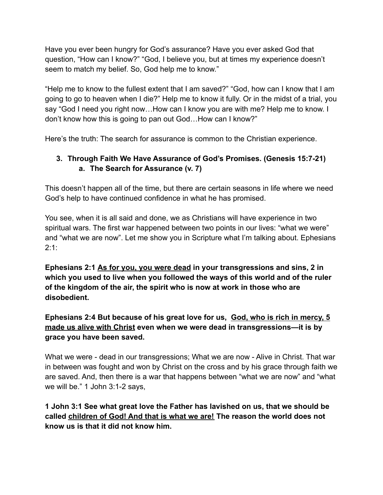Have you ever been hungry for God's assurance? Have you ever asked God that question, "How can I know?" "God, I believe you, but at times my experience doesn't seem to match my belief. So, God help me to know."

"Help me to know to the fullest extent that I am saved?" "God, how can I know that I am going to go to heaven when I die?" Help me to know it fully. Or in the midst of a trial, you say "God I need you right now…How can I know you are with me? Help me to know. I don't know how this is going to pan out God…How can I know?"

Here's the truth: The search for assurance is common to the Christian experience.

# **3. Through Faith We Have Assurance of God's Promises. (Genesis 15:7-21) a. The Search for Assurance (v. 7)**

This doesn't happen all of the time, but there are certain seasons in life where we need God's help to have continued confidence in what he has promised.

You see, when it is all said and done, we as Christians will have experience in two spiritual wars. The first war happened between two points in our lives: "what we were" and "what we are now". Let me show you in Scripture what I'm talking about. Ephesians  $2:1:$ 

**Ephesians 2:1 As for you, you were dead in your transgressions and sins, 2 in which you used to live when you followed the ways of this world and of the ruler of the kingdom of the air, the spirit who is now at work in those who are disobedient.**

# **Ephesians 2:4 But because of his great love for us, God, who is rich in mercy, 5 made us alive with Christ even when we were dead in transgressions—it is by grace you have been saved.**

What we were - dead in our transgressions; What we are now - Alive in Christ. That war in between was fought and won by Christ on the cross and by his grace through faith we are saved. And, then there is a war that happens between "what we are now" and "what we will be." 1 John 3:1-2 says,

# **1 John 3:1 See what great love the Father has lavished on us, that we should be called children of God! And that is what we are! The reason the world does not know us is that it did not know him.**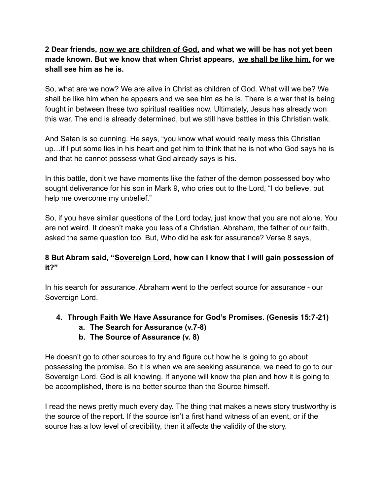# **2 Dear friends, now we are children of God, and what we will be has not yet been made known. But we know that when Christ appears, we shall be like him, for we shall see him as he is.**

So, what are we now? We are alive in Christ as children of God. What will we be? We shall be like him when he appears and we see him as he is. There is a war that is being fought in between these two spiritual realities now. Ultimately, Jesus has already won this war. The end is already determined, but we still have battles in this Christian walk.

And Satan is so cunning. He says, "you know what would really mess this Christian up…if I put some lies in his heart and get him to think that he is not who God says he is and that he cannot possess what God already says is his.

In this battle, don't we have moments like the father of the demon possessed boy who sought deliverance for his son in Mark 9, who cries out to the Lord, "I do believe, but help me overcome my unbelief."

So, if you have similar questions of the Lord today, just know that you are not alone. You are not weird. It doesn't make you less of a Christian. Abraham, the father of our faith, asked the same question too. But, Who did he ask for assurance? Verse 8 says,

# **8 But Abram said, "Sovereign Lord, how can I know that I will gain possession of it?"**

In his search for assurance, Abraham went to the perfect source for assurance - our Sovereign Lord.

# **4. Through Faith We Have Assurance for God's Promises. (Genesis 15:7-21)**

- **a. The Search for Assurance (v.7-8)**
- **b. The Source of Assurance (v. 8)**

He doesn't go to other sources to try and figure out how he is going to go about possessing the promise. So it is when we are seeking assurance, we need to go to our Sovereign Lord. God is all knowing. If anyone will know the plan and how it is going to be accomplished, there is no better source than the Source himself.

I read the news pretty much every day. The thing that makes a news story trustworthy is the source of the report. If the source isn't a first hand witness of an event, or if the source has a low level of credibility, then it affects the validity of the story.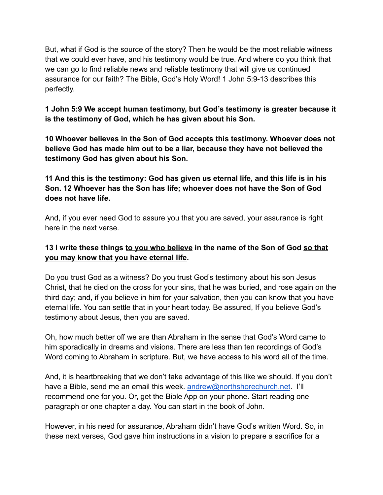But, what if God is the source of the story? Then he would be the most reliable witness that we could ever have, and his testimony would be true. And where do you think that we can go to find reliable news and reliable testimony that will give us continued assurance for our faith? The Bible, God's Holy Word! 1 John 5:9-13 describes this perfectly.

#### **1 John 5:9 We accept human testimony, but God's testimony is greater because it is the testimony of God, which he has given about his Son.**

**10 Whoever believes in the Son of God accepts this testimony. Whoever does not believe God has made him out to be a liar, because they have not believed the testimony God has given about his Son.**

**11 And this is the testimony: God has given us eternal life, and this life is in his Son. 12 Whoever has the Son has life; whoever does not have the Son of God does not have life.**

And, if you ever need God to assure you that you are saved, your assurance is right here in the next verse.

# **13 I write these things to you who believe in the name of the Son of God so that you may know that you have eternal life.**

Do you trust God as a witness? Do you trust God's testimony about his son Jesus Christ, that he died on the cross for your sins, that he was buried, and rose again on the third day; and, if you believe in him for your salvation, then you can know that you have eternal life. You can settle that in your heart today. Be assured, If you believe God's testimony about Jesus, then you are saved.

Oh, how much better off we are than Abraham in the sense that God's Word came to him sporadically in dreams and visions. There are less than ten recordings of God's Word coming to Abraham in scripture. But, we have access to his word all of the time.

And, it is heartbreaking that we don't take advantage of this like we should. If you don't have a Bible, send me an email this week. [andrew@northshorechurch.net](mailto:andrew@northshorechurch.net). I'll recommend one for you. Or, get the Bible App on your phone. Start reading one paragraph or one chapter a day. You can start in the book of John.

However, in his need for assurance, Abraham didn't have God's written Word. So, in these next verses, God gave him instructions in a vision to prepare a sacrifice for a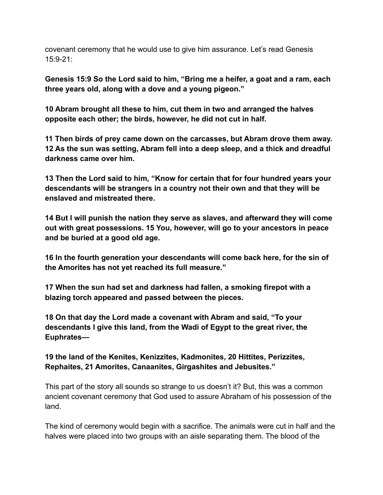covenant ceremony that he would use to give him assurance. Let's read Genesis 15:9-21:

**Genesis 15:9 So the Lord said to him, "Bring me a heifer, a goat and a ram, each three years old, along with a dove and a young pigeon."**

**10 Abram brought all these to him, cut them in two and arranged the halves opposite each other; the birds, however, he did not cut in half.**

**11 Then birds of prey came down on the carcasses, but Abram drove them away. 12 As the sun was setting, Abram fell into a deep sleep, and a thick and dreadful darkness came over him.**

**13 Then the Lord said to him, "Know for certain that for four hundred years your descendants will be strangers in a country not their own and that they will be enslaved and mistreated there.**

**14 But I will punish the nation they serve as slaves, and afterward they will come out with great possessions. 15 You, however, will go to your ancestors in peace and be buried at a good old age.**

**16 In the fourth generation your descendants will come back here, for the sin of the Amorites has not yet reached its full measure."**

**17 When the sun had set and darkness had fallen, a smoking firepot with a blazing torch appeared and passed between the pieces.**

**18 On that day the Lord made a covenant with Abram and said, "To your descendants I give this land, from the Wadi of Egypt to the great river, the Euphrates—**

**19 the land of the Kenites, Kenizzites, Kadmonites, 20 Hittites, Perizzites, Rephaites, 21 Amorites, Canaanites, Girgashites and Jebusites."**

This part of the story all sounds so strange to us doesn't it? But, this was a common ancient covenant ceremony that God used to assure Abraham of his possession of the land.

The kind of ceremony would begin with a sacrifice. The animals were cut in half and the halves were placed into two groups with an aisle separating them. The blood of the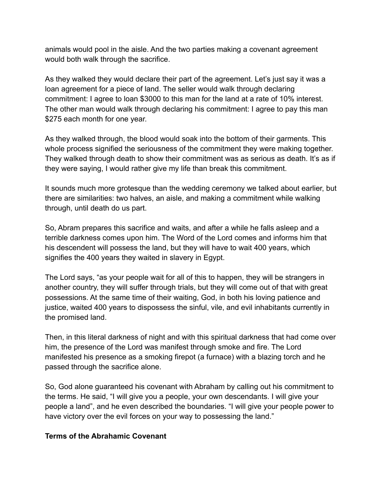animals would pool in the aisle. And the two parties making a covenant agreement would both walk through the sacrifice.

As they walked they would declare their part of the agreement. Let's just say it was a loan agreement for a piece of land. The seller would walk through declaring commitment: I agree to loan \$3000 to this man for the land at a rate of 10% interest. The other man would walk through declaring his commitment: I agree to pay this man \$275 each month for one year.

As they walked through, the blood would soak into the bottom of their garments. This whole process signified the seriousness of the commitment they were making together. They walked through death to show their commitment was as serious as death. It's as if they were saying, I would rather give my life than break this commitment.

It sounds much more grotesque than the wedding ceremony we talked about earlier, but there are similarities: two halves, an aisle, and making a commitment while walking through, until death do us part.

So, Abram prepares this sacrifice and waits, and after a while he falls asleep and a terrible darkness comes upon him. The Word of the Lord comes and informs him that his descendent will possess the land, but they will have to wait 400 years, which signifies the 400 years they waited in slavery in Egypt.

The Lord says, "as your people wait for all of this to happen, they will be strangers in another country, they will suffer through trials, but they will come out of that with great possessions. At the same time of their waiting, God, in both his loving patience and justice, waited 400 years to dispossess the sinful, vile, and evil inhabitants currently in the promised land.

Then, in this literal darkness of night and with this spiritual darkness that had come over him, the presence of the Lord was manifest through smoke and fire. The Lord manifested his presence as a smoking firepot (a furnace) with a blazing torch and he passed through the sacrifice alone.

So, God alone guaranteed his covenant with Abraham by calling out his commitment to the terms. He said, "I will give you a people, your own descendants. I will give your people a land", and he even described the boundaries. "I will give your people power to have victory over the evil forces on your way to possessing the land."

#### **Terms of the Abrahamic Covenant**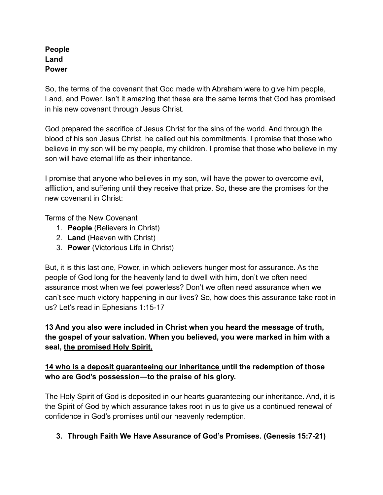#### **People Land Power**

So, the terms of the covenant that God made with Abraham were to give him people, Land, and Power. Isn't it amazing that these are the same terms that God has promised in his new covenant through Jesus Christ.

God prepared the sacrifice of Jesus Christ for the sins of the world. And through the blood of his son Jesus Christ, he called out his commitments. I promise that those who believe in my son will be my people, my children. I promise that those who believe in my son will have eternal life as their inheritance.

I promise that anyone who believes in my son, will have the power to overcome evil, affliction, and suffering until they receive that prize. So, these are the promises for the new covenant in Christ:

Terms of the New Covenant

- 1. **People** (Believers in Christ)
- 2. **Land** (Heaven with Christ)
- 3. **Power** (Victorious Life in Christ)

But, it is this last one, Power, in which believers hunger most for assurance. As the people of God long for the heavenly land to dwell with him, don't we often need assurance most when we feel powerless? Don't we often need assurance when we can't see much victory happening in our lives? So, how does this assurance take root in us? Let's read in Ephesians 1:15-17

# **13 And you also were included in Christ when you heard the message of truth, the gospel of your salvation. When you believed, you were marked in him with a seal, the promised Holy Spirit,**

# **14 who is a deposit guaranteeing our inheritance until the redemption of those who are God's possession—to the praise of his glory.**

The Holy Spirit of God is deposited in our hearts guaranteeing our inheritance. And, it is the Spirit of God by which assurance takes root in us to give us a continued renewal of confidence in God's promises until our heavenly redemption.

#### **3. Through Faith We Have Assurance of God's Promises. (Genesis 15:7-21)**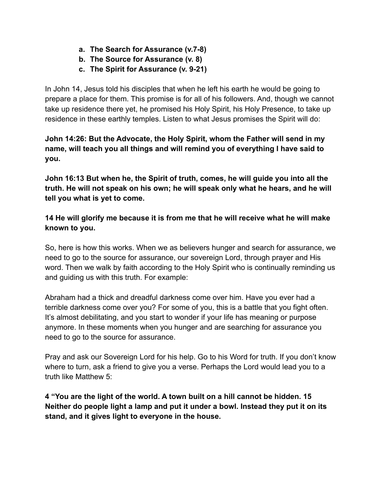- **a. The Search for Assurance (v.7-8)**
- **b. The Source for Assurance (v. 8)**
- **c. The Spirit for Assurance (v. 9-21)**

In John 14, Jesus told his disciples that when he left his earth he would be going to prepare a place for them. This promise is for all of his followers. And, though we cannot take up residence there yet, he promised his Holy Spirit, his Holy Presence, to take up residence in these earthly temples. Listen to what Jesus promises the Spirit will do:

**John 14:26: But the Advocate, the Holy Spirit, whom the Father will send in my name, will teach you all things and will remind you of everything I have said to you.**

**John 16:13 But when he, the Spirit of truth, comes, he will guide you into all the truth. He will not speak on his own; he will speak only what he hears, and he will tell you what is yet to come.**

**14 He will glorify me because it is from me that he will receive what he will make known to you.**

So, here is how this works. When we as believers hunger and search for assurance, we need to go to the source for assurance, our sovereign Lord, through prayer and His word. Then we walk by faith according to the Holy Spirit who is continually reminding us and guiding us with this truth. For example:

Abraham had a thick and dreadful darkness come over him. Have you ever had a terrible darkness come over you? For some of you, this is a battle that you fight often. It's almost debilitating, and you start to wonder if your life has meaning or purpose anymore. In these moments when you hunger and are searching for assurance you need to go to the source for assurance.

Pray and ask our Sovereign Lord for his help. Go to his Word for truth. If you don't know where to turn, ask a friend to give you a verse. Perhaps the Lord would lead you to a truth like Matthew 5:

**4 "You are the light of the world. A town built on a hill cannot be hidden. 15 Neither do people light a lamp and put it under a bowl. Instead they put it on its stand, and it gives light to everyone in the house.**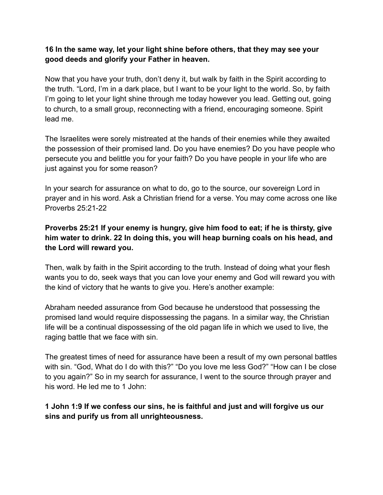#### **16 In the same way, let your light shine before others, that they may see your good deeds and glorify your Father in heaven.**

Now that you have your truth, don't deny it, but walk by faith in the Spirit according to the truth. "Lord, I'm in a dark place, but I want to be your light to the world. So, by faith I'm going to let your light shine through me today however you lead. Getting out, going to church, to a small group, reconnecting with a friend, encouraging someone. Spirit lead me.

The Israelites were sorely mistreated at the hands of their enemies while they awaited the possession of their promised land. Do you have enemies? Do you have people who persecute you and belittle you for your faith? Do you have people in your life who are just against you for some reason?

In your search for assurance on what to do, go to the source, our sovereign Lord in prayer and in his word. Ask a Christian friend for a verse. You may come across one like Proverbs 25:21-22

# **Proverbs 25:21 If your enemy is hungry, give him food to eat; if he is thirsty, give him water to drink. 22 In doing this, you will heap burning coals on his head, and the Lord will reward you.**

Then, walk by faith in the Spirit according to the truth. Instead of doing what your flesh wants you to do, seek ways that you can love your enemy and God will reward you with the kind of victory that he wants to give you. Here's another example:

Abraham needed assurance from God because he understood that possessing the promised land would require dispossessing the pagans. In a similar way, the Christian life will be a continual dispossessing of the old pagan life in which we used to live, the raging battle that we face with sin.

The greatest times of need for assurance have been a result of my own personal battles with sin. "God, What do I do with this?" "Do you love me less God?" "How can I be close to you again?" So in my search for assurance, I went to the source through prayer and his word. He led me to 1 John:

#### **1 John 1:9 If we confess our sins, he is faithful and just and will forgive us our sins and purify us from all unrighteousness.**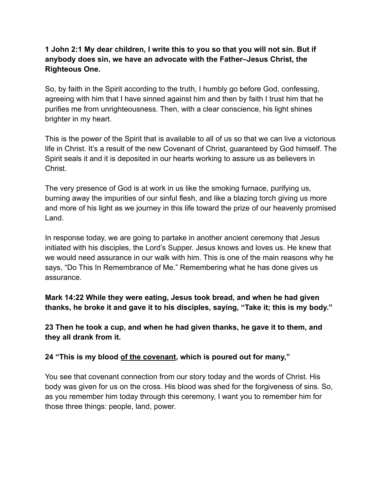#### **1 John 2:1 My dear children, I write this to you so that you will not sin. But if anybody does sin, we have an advocate with the Father–Jesus Christ, the Righteous One.**

So, by faith in the Spirit according to the truth, I humbly go before God, confessing, agreeing with him that I have sinned against him and then by faith I trust him that he purifies me from unrighteousness. Then, with a clear conscience, his light shines brighter in my heart.

This is the power of the Spirit that is available to all of us so that we can live a victorious life in Christ. It's a result of the new Covenant of Christ, guaranteed by God himself. The Spirit seals it and it is deposited in our hearts working to assure us as believers in Christ.

The very presence of God is at work in us like the smoking furnace, purifying us, burning away the impurities of our sinful flesh, and like a blazing torch giving us more and more of his light as we journey in this life toward the prize of our heavenly promised Land.

In response today, we are going to partake in another ancient ceremony that Jesus initiated with his disciples, the Lord's Supper. Jesus knows and loves us. He knew that we would need assurance in our walk with him. This is one of the main reasons why he says, "Do This In Remembrance of Me." Remembering what he has done gives us assurance.

**Mark 14:22 While they were eating, Jesus took bread, and when he had given thanks, he broke it and gave it to his disciples, saying, "Take it; this is my body."**

**23 Then he took a cup, and when he had given thanks, he gave it to them, and they all drank from it.**

**24 "This is my blood of the covenant, which is poured out for many,"**

You see that covenant connection from our story today and the words of Christ. His body was given for us on the cross. His blood was shed for the forgiveness of sins. So, as you remember him today through this ceremony, I want you to remember him for those three things: people, land, power.